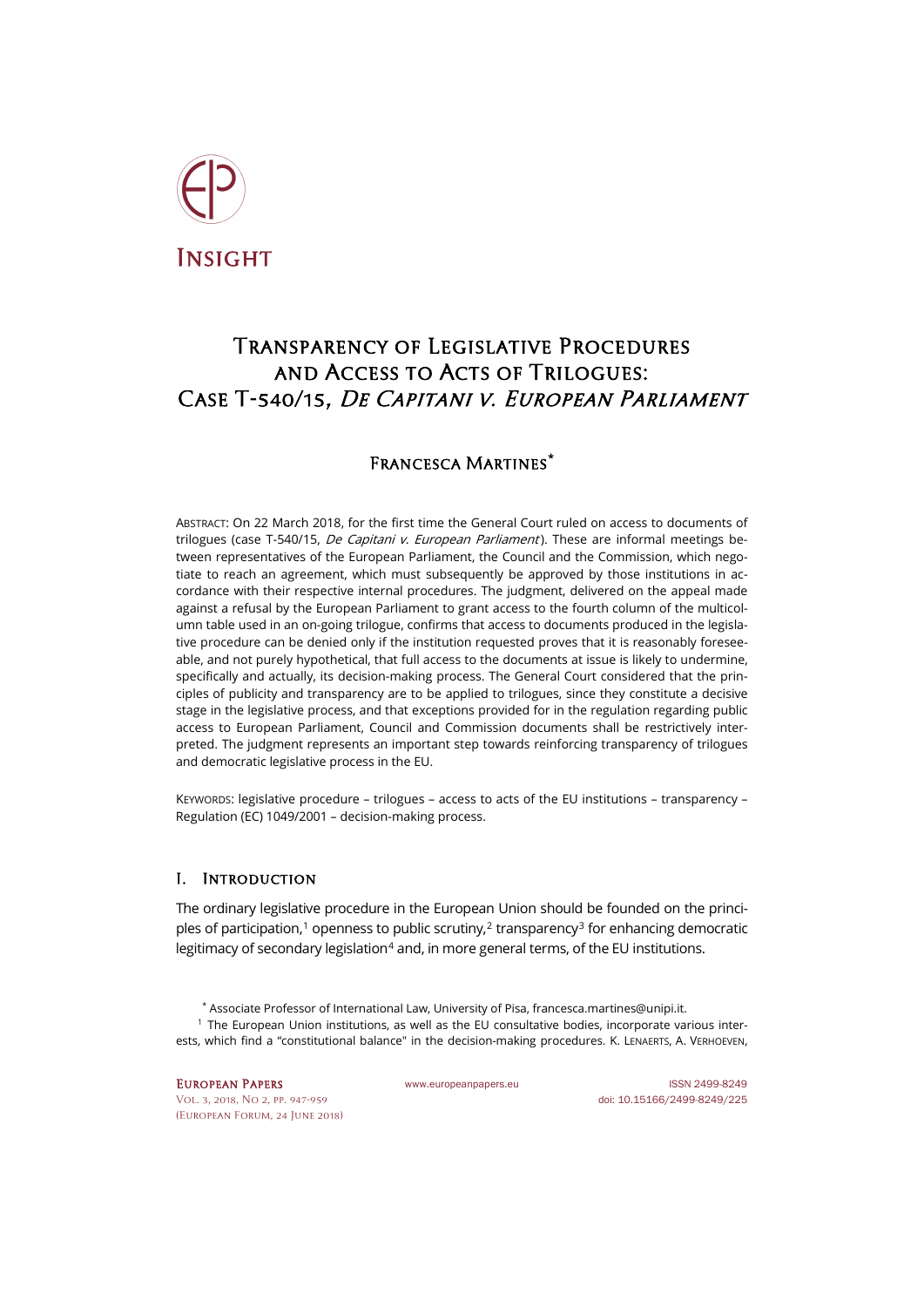

# Transparency of Legislative Procedures and Access to Acts of Trilogues: Case T-540/15, De Capitani v. European Parliament

## Francesca Martines**[\\*](#page-0-0)**

<span id="page-0-3"></span><span id="page-0-2"></span>ABSTRACT: On 22 March 2018, for the first time the General Court ruled on access to documents of trilogues (case T-540/15, *De Capitani v. European Parliament*). These are informal meetings between representatives of the European Parliament, the Council and the Commission, which negotiate to reach an agreement, which must subsequently be approved by those institutions in accordance with their respective internal procedures. The judgment, delivered on the appeal made against a refusal by the European Parliament to grant access to the fourth column of the multicolumn table used in an on-going trilogue, confirms that access to documents produced in the legislative procedure can be denied only if the institution requested proves that it is reasonably foreseeable, and not purely hypothetical, that full access to the documents at issue is likely to undermine, specifically and actually, its decision-making process. The General Court considered that the principles of publicity and transparency are to be applied to trilogues, since they constitute a decisive stage in the legislative process, and that exceptions provided for in the regulation regarding public access to European Parliament, Council and Commission documents shall be restrictively interpreted. The judgment represents an important step towards reinforcing transparency of trilogues and democratic legislative process in the EU.

<span id="page-0-4"></span>KEYWORDS: legislative procedure – trilogues – access to acts of the EU institutions – transparency – Regulation (EC) 1049/2001 – decision-making process.

### I. Introduction

The ordinary legislative procedure in the European Union should be founded on the princi-ples of participation,<sup>[1](#page-0-1)</sup> openness to public scrutiny,<sup>[2](#page-0-2)</sup> transparency<sup>[3](#page-0-3)</sup> for enhancing democratic legitimacy of secondary legislation<sup>[4](#page-0-4)</sup> and, in more general terms, of the EU institutions.

- \* Associate Professor of International Law, University of Pisa[, francesca.martines@unipi.it.](mailto:francesca.martines@unipi.it)
- <span id="page-0-1"></span><span id="page-0-0"></span><sup>1</sup> The European Union institutions, as well as the EU consultative bodies, incorporate various interests, which find a "constitutional balance" in the decision-making procedures. K. LENAERTS, A. VERHOEVEN,

[Vol. 3, 2018, No 2,](http://www.europeanpapers.eu/en/content/e-journal/EP_eJ_2018_2) pp. 947-959 doi[: 10.15166/2499-8249/225](https://doi.org/10.15166/2499-8249/225) [\(European](http://www.europeanpapers.eu/en/content/european-forum) Forum, 24 June 2018)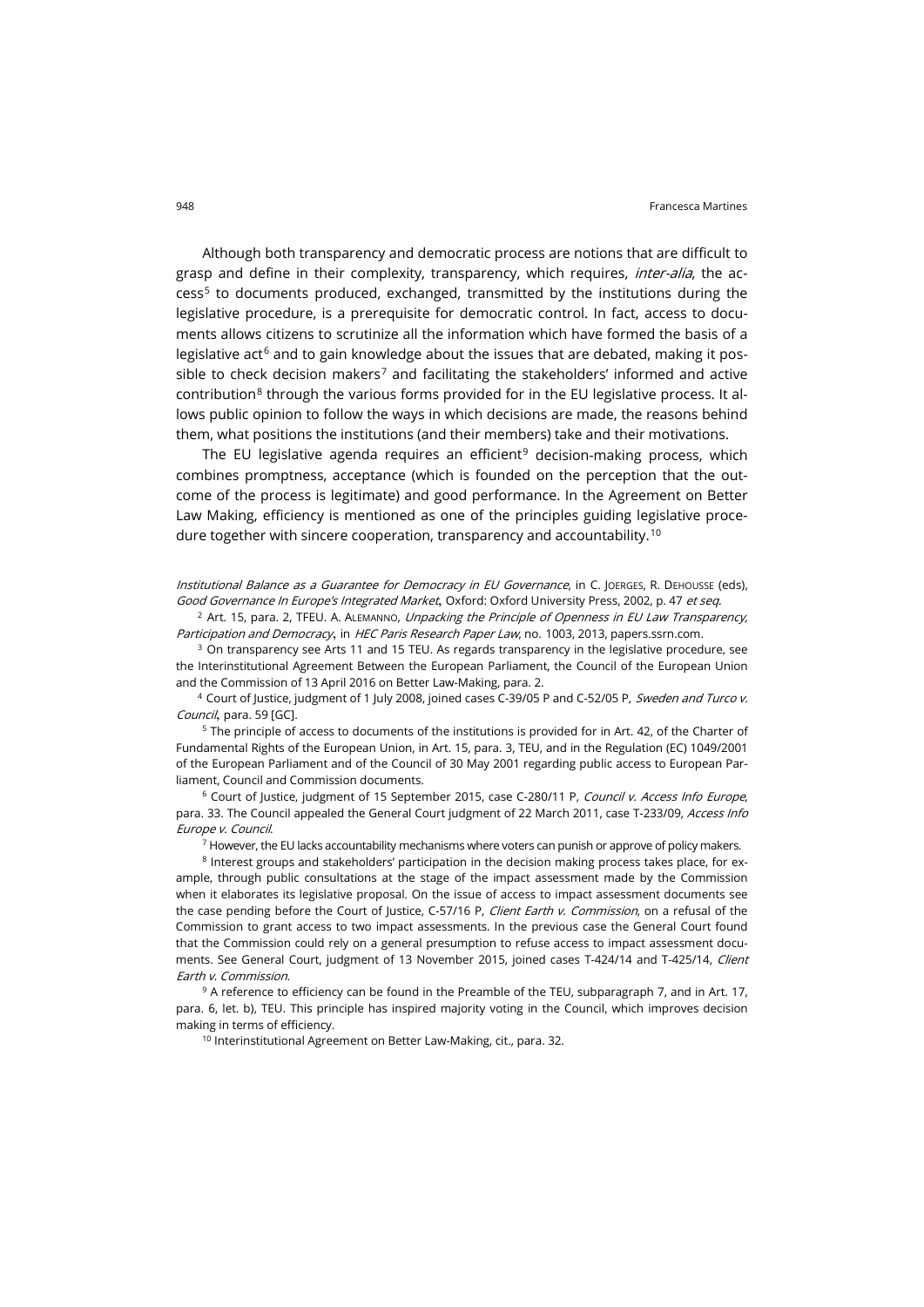Although both transparency and democratic process are notions that are difficult to grasp and define in their complexity, transparency, which requires, *inter-alia*, the access[5](#page-1-0) to documents produced, exchanged, transmitted by the institutions during the legislative procedure, is a prerequisite for democratic control. In fact, access to documents allows citizens to scrutinize all the information which have formed the basis of a legislative act<sup>[6](#page-1-1)</sup> and to gain knowledge about the issues that are debated, making it pos-sible to check decision makers<sup>[7](#page-1-2)</sup> and facilitating the stakeholders' informed and active contribution<sup>[8](#page-1-3)</sup> through the various forms provided for in the EU legislative process. It allows public opinion to follow the ways in which decisions are made, the reasons behind them, what positions the institutions (and their members) take and their motivations.

The EU legislative agenda requires an efficient<sup>[9](#page-1-4)</sup> decision-making process, which combines promptness, acceptance (which is founded on the perception that the outcome of the process is legitimate) and good performance. In the Agreement on Better Law Making, efficiency is mentioned as one of the principles guiding legislative proce-dure together with sincere cooperation, transparency and accountability.<sup>[10](#page-1-5)</sup>

Institutional Balance as a Guarantee for Democracy in EU Governance, in C. JOERGES, R. DEHOUSSE (eds), Good Governance In Europe's Integrated Market, Oxford: Oxford University Press, 2002, p. 47 et seq.

 $2$  Art. 15, para. 2, TFEU. A. ALEMANNO, Unpacking the Principle of Openness in EU Law Transparency, Participation and Democracy, in HEC Paris Research Paper Law, no. 1003, 2013[, papers.ssrn.com.](https://papers.ssrn.com/sol3/papers.cfm?abstract_id=2303644)

<sup>3</sup> On transparency see Arts 11 and 15 TEU. As regards transparency in the legislative procedure, see the Interinstitutional Agreement Between the European Parliament, the Council of the European Union and the Commission of 13 April 2016 on Better Law-Making, para. 2.

<sup>4</sup> Court of Justice, judgment of 1 July 2008, joined cases C-39/05 P and C-52/05 P, Sweden and Turco v. Council, para. 59 [GC].

<span id="page-1-0"></span><sup>5</sup> The principle of access to documents of the institutions is provided for in Art. 42, of the Charter of Fundamental Rights of the European Union, in Art. 15, para. 3, TEU, and in the Regulation (EC) 1049/2001 of the European Parliament and of the Council of 30 May 2001 regarding public access to European Parliament, Council and Commission documents.

<span id="page-1-1"></span><sup>6</sup> Court of Justice, judgment of 15 September 2015, case C-280/11 P, Council v. Access Info Europe, para. 33. The Council appealed the General Court judgment of 22 March 2011, case T-233/09, Access Info Europe v. Council.

<sup>7</sup> However, the EU lacks accountability mechanisms where voters can punish or approve of policy makers.

<span id="page-1-3"></span><span id="page-1-2"></span><sup>8</sup> Interest groups and stakeholders' participation in the decision making process takes place, for example, through public consultations at the stage of the impact assessment made by the Commission when it elaborates its legislative proposal. On the issue of access to impact assessment documents see the case pending before the Court of Justice, C-57/16 P, Client Earth v. Commission, on a refusal of the Commission to grant access to two impact assessments. In the previous case the General Court found that the Commission could rely on a general presumption to refuse access to impact assessment documents. See General Court, judgment of 13 November 2015, joined cases T-424/14 and T-425/14, Client Earth v. Commission.

<span id="page-1-5"></span><span id="page-1-4"></span><sup>9</sup> A reference to efficiency can be found in the Preamble of the TEU, subparagraph 7, and in Art. 17, para. 6, let. b), TEU. This principle has inspired majority voting in the Council, which improves decision making in terms of efficiency.

<sup>10</sup> Interinstitutional Agreement on Better Law-Making, cit., para. 32.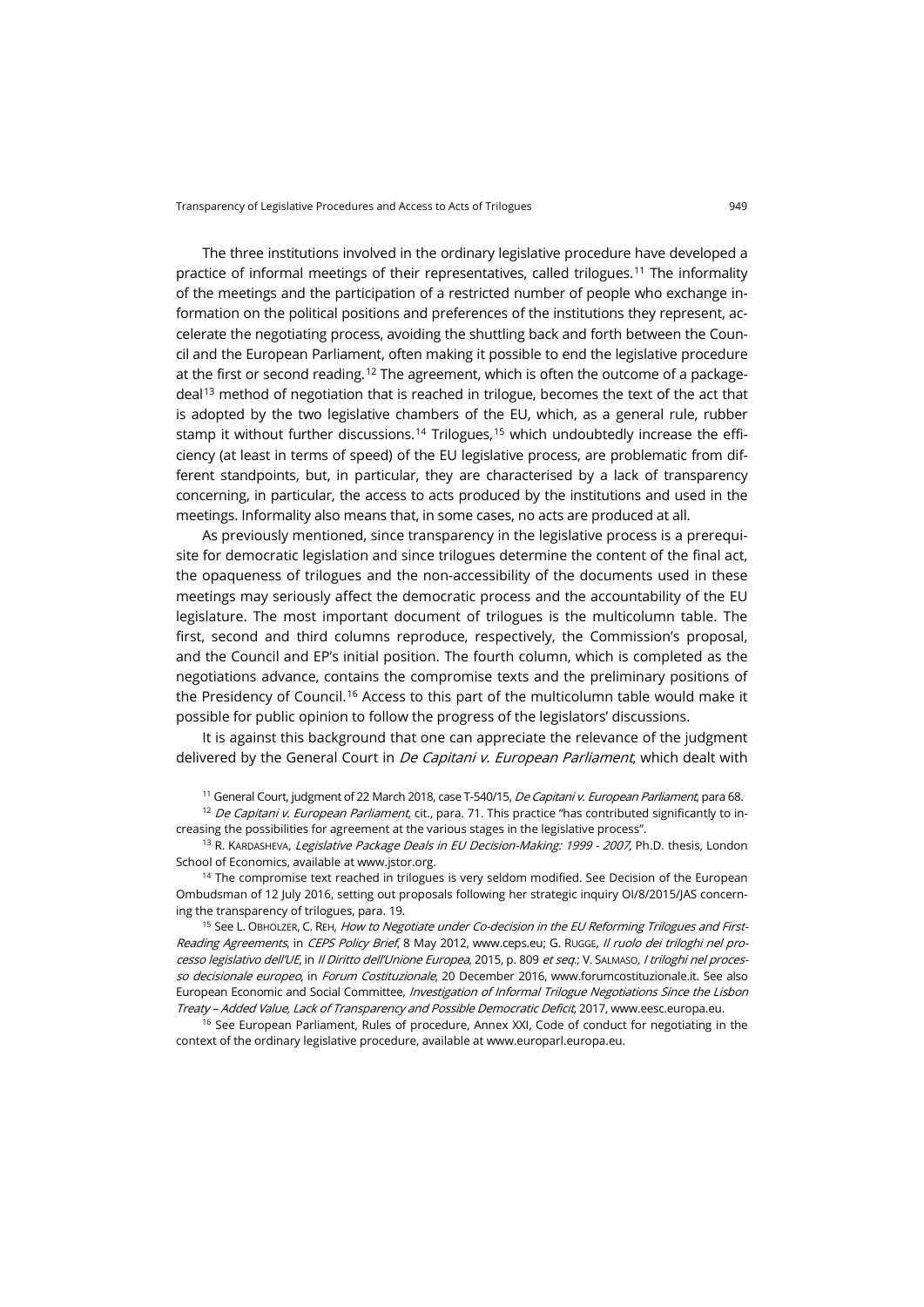The three institutions involved in the ordinary legislative procedure have developed a practice of informal meetings of their representatives, called trilogues.[11](#page-2-0) The informality of the meetings and the participation of a restricted number of people who exchange information on the political positions and preferences of the institutions they represent, accelerate the negotiating process, avoiding the shuttling back and forth between the Council and the European Parliament, often making it possible to end the legislative procedure at the first or second reading.<sup>[12](#page-2-1)</sup> The agreement, which is often the outcome of a package- $deal<sup>13</sup>$  $deal<sup>13</sup>$  $deal<sup>13</sup>$  method of negotiation that is reached in trilogue, becomes the text of the act that is adopted by the two legislative chambers of the EU, which, as a general rule, rubber stamp it without further discussions.<sup>[14](#page-2-3)</sup> Trilogues,<sup>[15](#page-2-4)</sup> which undoubtedly increase the efficiency (at least in terms of speed) of the EU legislative process, are problematic from different standpoints, but, in particular, they are characterised by a lack of transparency concerning, in particular, the access to acts produced by the institutions and used in the meetings. Informality also means that, in some cases, no acts are produced at all.

As previously mentioned, since transparency in the legislative process is a prerequisite for democratic legislation and since trilogues determine the content of the final act, the opaqueness of trilogues and the non-accessibility of the documents used in these meetings may seriously affect the democratic process and the accountability of the EU legislature. The most important document of trilogues is the multicolumn table. The first, second and third columns reproduce, respectively, the Commission's proposal, and the Council and EP's initial position. The fourth column, which is completed as the negotiations advance, contains the compromise texts and the preliminary positions of the Presidency of Council.<sup>[16](#page-2-5)</sup> Access to this part of the multicolumn table would make it possible for public opinion to follow the progress of the legislators' discussions.

It is against this background that one can appreciate the relevance of the judgment delivered by the General Court in *De Capitani v. European Parliament*, which dealt with

<sup>11</sup> General Court, judgment of 22 March 2018, case T-540/15, *De Capitani v. European Parliament*, para 68.

<span id="page-2-1"></span><span id="page-2-0"></span><sup>12</sup> De Capitani v. European Parliament, cit., para. 71. This practice "has contributed significantly to increasing the possibilities for agreement at the various stages in the legislative process".

<span id="page-2-2"></span><sup>13</sup> R. KARDASHEVA, *Legislative Package Deals in EU Decision-Making: 1999 - 2007*, Ph.D. thesis, London School of Economics, available a[t www.jstor.org.](https://www.jstor.org/stable/23496661)

<span id="page-2-3"></span><sup>14</sup> The compromise text reached in trilogues is very seldom modified. See Decision of the European Ombudsman of 12 July 2016, setting out proposals following her strategic inquiry OI/8/2015/JAS concerning the transparency of trilogues, para. 19.

<span id="page-2-4"></span><sup>15</sup> See L. OBHOLZER, C. REH, How to Negotiate under Co-decision in the EU Reforming Trilogues and FirstReading Agreements, in CEPS Policy Brief, 8 May 2012, [www.ceps.eu;](https://www.ceps.eu/publications/how-negotiate-under-co-decision-eu-reforming-trilogues-and-first-reading-agreements) G. Rugge, Il ruolo dei triloghi nel processo legislativo dell'UE, in Il Diritto dell'Unione Europea, 2015, p. 809 et seq.; V. SALMASO, I triloghi nel proces-so decisionale europeo, in Forum Costituzionale, 20 December 2016[, www.forumcostituzionale.it.](http://www.forumcostituzionale.it/wordpress/wp-content/uploads/2016/06/salmaso.pdf) See also European Economic and Social Committee, Investigation of Informal Trilogue Negotiations Since the Lisbon Treaty – Added Value, Lack of Transparency and Possible Democratic Deficit, 2017[, www.eesc.europa.eu.](https://www.eesc.europa.eu/en/our-work/publications-other-work/publications/investigation-informal-trilogue-negotiations-lisbon-treaty-added-value-lack-transparency-and-possible-democratic-deficit)

<span id="page-2-5"></span><sup>16</sup> See European Parliament, Rules of procedure, Annex XXI, Code of conduct for negotiating in the context of the ordinary legislative procedure, available a[t www.europarl.europa.eu.](http://www.europarl.europa.eu/sides/getDoc.do?pubRef=-//EP//NONSGML+RULES-EP+20170116+0+DOC+PDF+V0//EN&language=EN)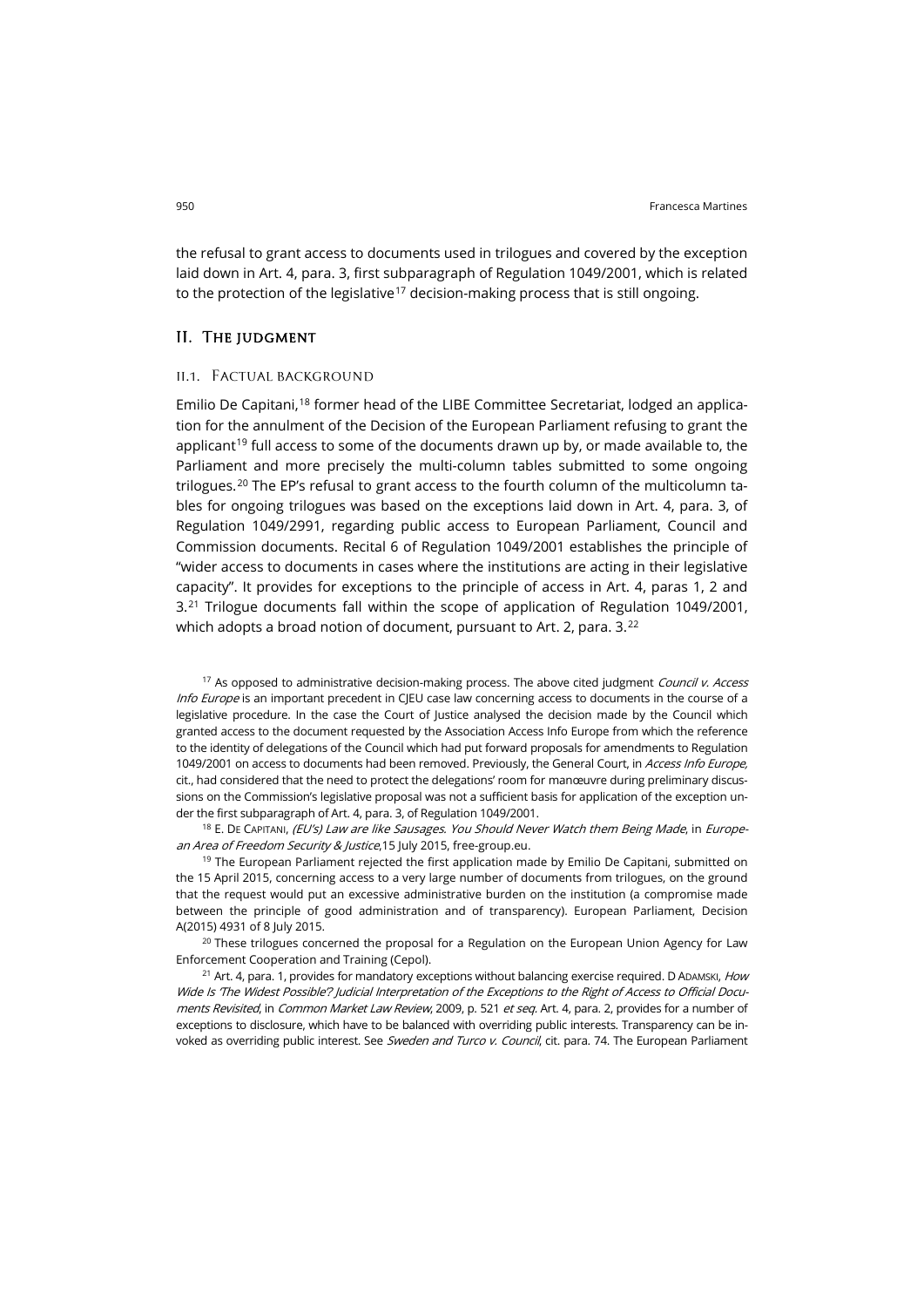the refusal to grant access to documents used in trilogues and covered by the exception laid down in Art. 4, para. 3, first subparagraph of Regulation 1049/2001, which is related to the protection of the legislative<sup>[17](#page-3-0)</sup> decision-making process that is still ongoing.

#### II. The judgment

#### ii.1. Factual background

Emilio De Capitani,<sup>[18](#page-3-1)</sup> former head of the LIBE Committee Secretariat, lodged an application for the annulment of the Decision of the European Parliament refusing to grant the applicant<sup>[19](#page-3-2)</sup> full access to some of the documents drawn up by, or made available to, the Parliament and more precisely the multi-column tables submitted to some ongoing trilogues.<sup>[20](#page-3-3)</sup> The EP's refusal to grant access to the fourth column of the multicolumn tables for ongoing trilogues was based on the exceptions laid down in Art. 4, para. 3, of Regulation 1049/2991, regarding public access to European Parliament, Council and Commission documents. Recital 6 of Regulation 1049/2001 establishes the principle of "wider access to documents in cases where the institutions are acting in their legislative capacity". It provides for exceptions to the principle of access in Art. 4, paras 1, 2 and 3.[21](#page-3-4) Trilogue documents fall within the scope of application of Regulation 1049/2001, which adopts a broad notion of document, pursuant to Art. 2, para. 3.<sup>[22](#page-3-5)</sup>

<span id="page-3-0"></span><sup>17</sup> As opposed to administrative decision-making process. The above cited judgment *Council v. Access* Info Europe is an important precedent in CJEU case law concerning access to documents in the course of a legislative procedure. In the case the Court of Justice analysed the decision made by the Council which granted access to the document requested by the Association Access Info Europe from which the reference to the identity of delegations of the Council which had put forward proposals for amendments to Regulation 1049/2001 on access to documents had been removed. Previously, the General Court, in Access Info Europe, cit., had considered that the need to protect the delegations' room for manœuvre during preliminary discussions on the Commission's legislative proposal was not a sufficient basis for application of the exception under the first subparagraph of Art. 4, para. 3, of Regulation 1049/2001.

<span id="page-3-1"></span><sup>18</sup> E. DE CAPITANI, (EU's) Law are like Sausages. You Should Never Watch them Being Made, in Europe-an Area of Freedom Security & Justice, 15 July 2015[, free-group.eu.](https://free-group.eu/2015/07/12/eus-laws-are-like-sausages-you-should-never-watch-them-being-made/)

<span id="page-3-2"></span> $19$  The European Parliament rejected the first application made by Emilio De Capitani, submitted on the 15 April 2015, concerning access to a very large number of documents from trilogues, on the ground that the request would put an excessive administrative burden on the institution (a compromise made between the principle of good administration and of transparency). European Parliament, Decision A(2015) 4931 of 8 July 2015.

<span id="page-3-5"></span><span id="page-3-3"></span> $20$  These trilogues concerned the proposal for a Regulation on the European Union Agency for Law Enforcement Cooperation and Training (Cepol).

<span id="page-3-4"></span> $21$  Art. 4, para. 1, provides for mandatory exceptions without balancing exercise required. D ADAMSKI, How Wide Is 'The Widest Possible'? Judicial Interpretation of the Exceptions to the Right of Access to Official Documents Revisited, in Common Market Law Review, 2009, p. 521 et seq. Art. 4, para. 2, provides for a number of exceptions to disclosure, which have to be balanced with overriding public interests. Transparency can be invoked as overriding public interest. See Sweden and Turco v. Council, cit. para. 74. The European Parliament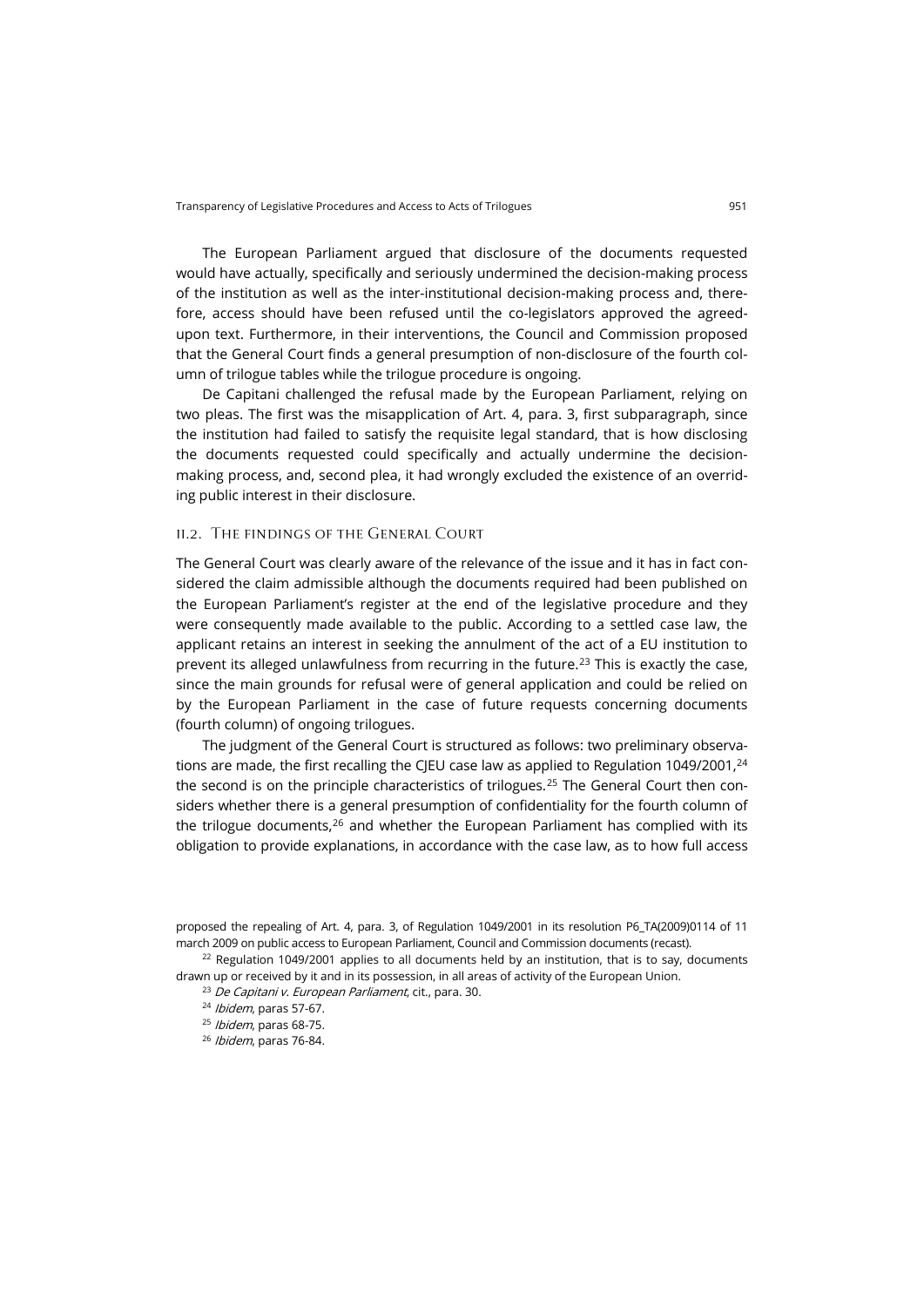The European Parliament argued that disclosure of the documents requested would have actually, specifically and seriously undermined the decision-making process of the institution as well as the inter-institutional decision-making process and, therefore, access should have been refused until the co-legislators approved the agreedupon text. Furthermore, in their interventions, the Council and Commission proposed that the General Court finds a general presumption of non-disclosure of the fourth column of trilogue tables while the trilogue procedure is ongoing.

De Capitani challenged the refusal made by the European Parliament, relying on two pleas. The first was the misapplication of Art. 4, para. 3, first subparagraph, since the institution had failed to satisfy the requisite legal standard, that is how disclosing the documents requested could specifically and actually undermine the decisionmaking process, and, second plea, it had wrongly excluded the existence of an overriding public interest in their disclosure.

#### ii.2. The findings of the General Court

The General Court was clearly aware of the relevance of the issue and it has in fact considered the claim admissible although the documents required had been published on the European Parliament's register at the end of the legislative procedure and they were consequently made available to the public. According to a settled case law, the applicant retains an interest in seeking the annulment of the act of a EU institution to prevent its alleged unlawfulness from recurring in the future.[23](#page-4-0) This is exactly the case, since the main grounds for refusal were of general application and could be relied on by the European Parliament in the case of future requests concerning documents (fourth column) of ongoing trilogues.

The judgment of the General Court is structured as follows: two preliminary observations are made, the first recalling the CJEU case law as applied to Regulation 1049/2001, $^{24}$ the second is on the principle characteristics of trilogues.<sup>[25](#page-4-2)</sup> The General Court then considers whether there is a general presumption of confidentiality for the fourth column of the trilogue documents, $26$  and whether the European Parliament has complied with its obligation to provide explanations, in accordance with the case law, as to how full access

proposed the repealing of Art. 4, para. 3, of Regulation 1049/2001 in its resolution P6\_TA(2009)0114 of 11 march 2009 on public access to European Parliament, Council and Commission documents (recast).

<span id="page-4-3"></span><span id="page-4-2"></span><span id="page-4-1"></span><span id="page-4-0"></span> $22$  Regulation 1049/2001 applies to all documents held by an institution, that is to say, documents drawn up or received by it and in its possession, in all areas of activity of the European Union.

<sup>23</sup> De Capitani v. European Parliament, cit., para. 30.

<sup>24</sup> Ibidem, paras 57-67.

<sup>25</sup> Ibidem, paras 68-75.

<sup>26</sup> Ibidem, paras 76-84.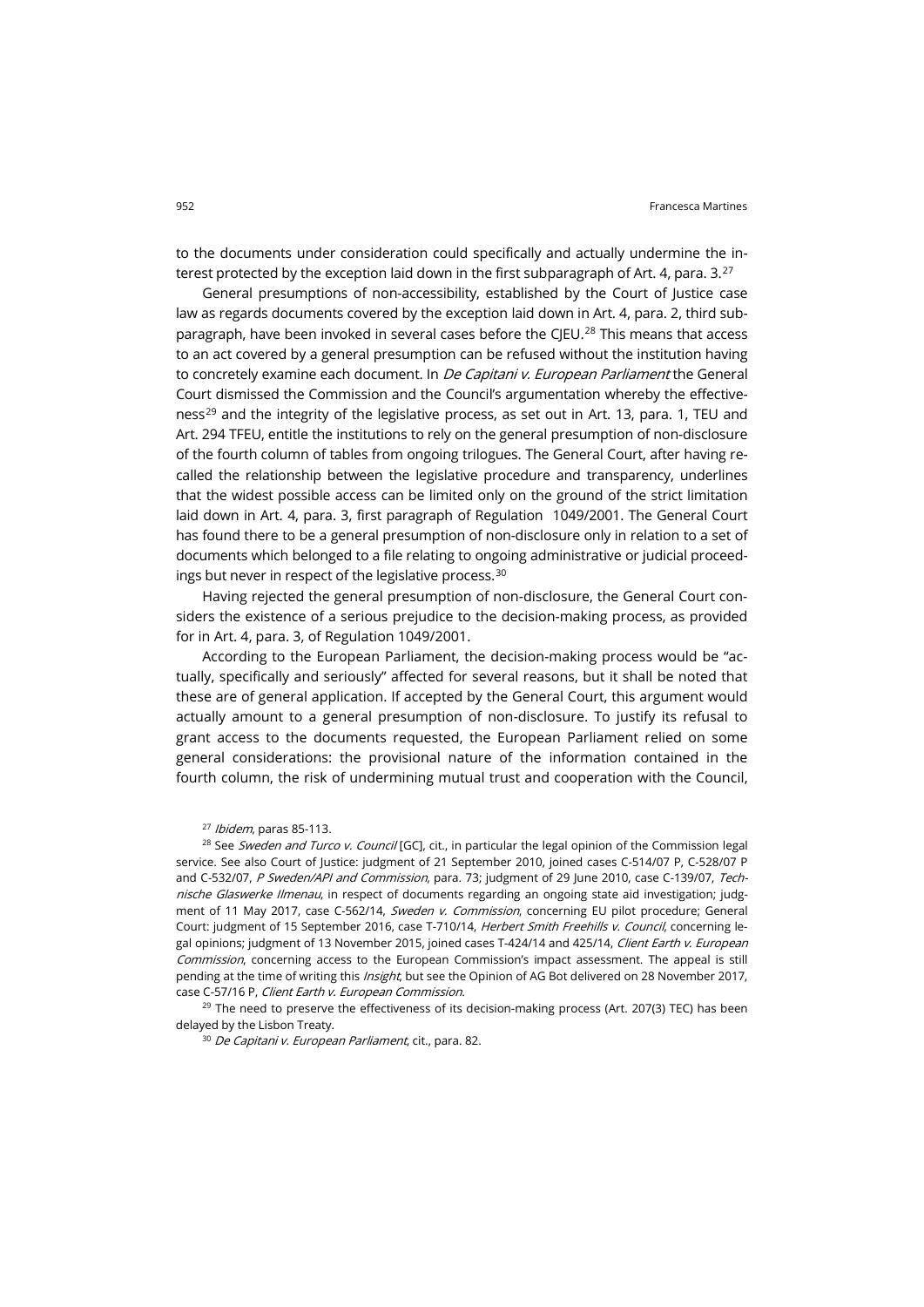to the documents under consideration could specifically and actually undermine the interest protected by the exception laid down in the first subparagraph of Art. 4, para.  $3.27$  $3.27$ 

General presumptions of non-accessibility, established by the Court of Justice case law as regards documents covered by the exception laid down in Art. 4, para. 2, third sub-paragraph, have been invoked in several cases before the CJEU.<sup>[28](#page-5-1)</sup> This means that access to an act covered by a general presumption can be refused without the institution having to concretely examine each document. In *De Capitani v. European Parliament* the General Court dismissed the Commission and the Council's argumentation whereby the effective-ness<sup>[29](#page-5-2)</sup> and the integrity of the legislative process, as set out in Art. 13, para. 1, TEU and Art. 294 TFEU, entitle the institutions to rely on the general presumption of non-disclosure of the fourth column of tables from ongoing trilogues. The General Court, after having recalled the relationship between the legislative procedure and transparency, underlines that the widest possible access can be limited only on the ground of the strict limitation laid down in Art. 4, para. 3, first paragraph of Regulation 1049/2001. The General Court has found there to be a general presumption of non-disclosure only in relation to a set of documents which belonged to a file relating to ongoing administrative or judicial proceedings but never in respect of the legislative process.[30](#page-5-3)

Having rejected the general presumption of non-disclosure, the General Court considers the existence of a serious prejudice to the decision-making process, as provided for in Art. 4, para. 3, of Regulation 1049/2001.

According to the European Parliament, the decision-making process would be "actually, specifically and seriously" affected for several reasons, but it shall be noted that these are of general application. If accepted by the General Court, this argument would actually amount to a general presumption of non-disclosure. To justify its refusal to grant access to the documents requested, the European Parliament relied on some general considerations: the provisional nature of the information contained in the fourth column, the risk of undermining mutual trust and cooperation with the Council,

 $27$  Ibidem, paras 85-113.

<span id="page-5-1"></span><span id="page-5-0"></span><sup>28</sup> See Sweden and Turco v. Council [GC], cit., in particular the legal opinion of the Commission legal service. See also Court of Justice: judgment of 21 September 2010, joined cases C-514/07 P, C-528/07 P and C-532/07, P Sweden/API and Commission, para. 73; judgment of 29 June 2010, case C-139/07, Technische Glaswerke Ilmenau, in respect of documents regarding an ongoing state aid investigation; judgment of 11 May 2017, case C-562/14, Sweden v. Commission, concerning EU pilot procedure; General Court: judgment of 15 September 2016, case T-710/14, Herbert Smith Freehills v. Council, concerning legal opinions; judgment of 13 November 2015, joined cases T-424/14 and 425/14, Client Earth v. European Commission, concerning access to the European Commission's impact assessment. The appeal is still pending at the time of writing this *Insight*, but see the Opinion of AG Bot delivered on 28 November 2017, case C-57/16 P, Client Earth v. European Commission.

<span id="page-5-3"></span><span id="page-5-2"></span> $29$  The need to preserve the effectiveness of its decision-making process (Art. 207(3) TEC) has been delayed by the Lisbon Treaty.

<sup>30</sup> De Capitani v. European Parliament, cit., para. 82.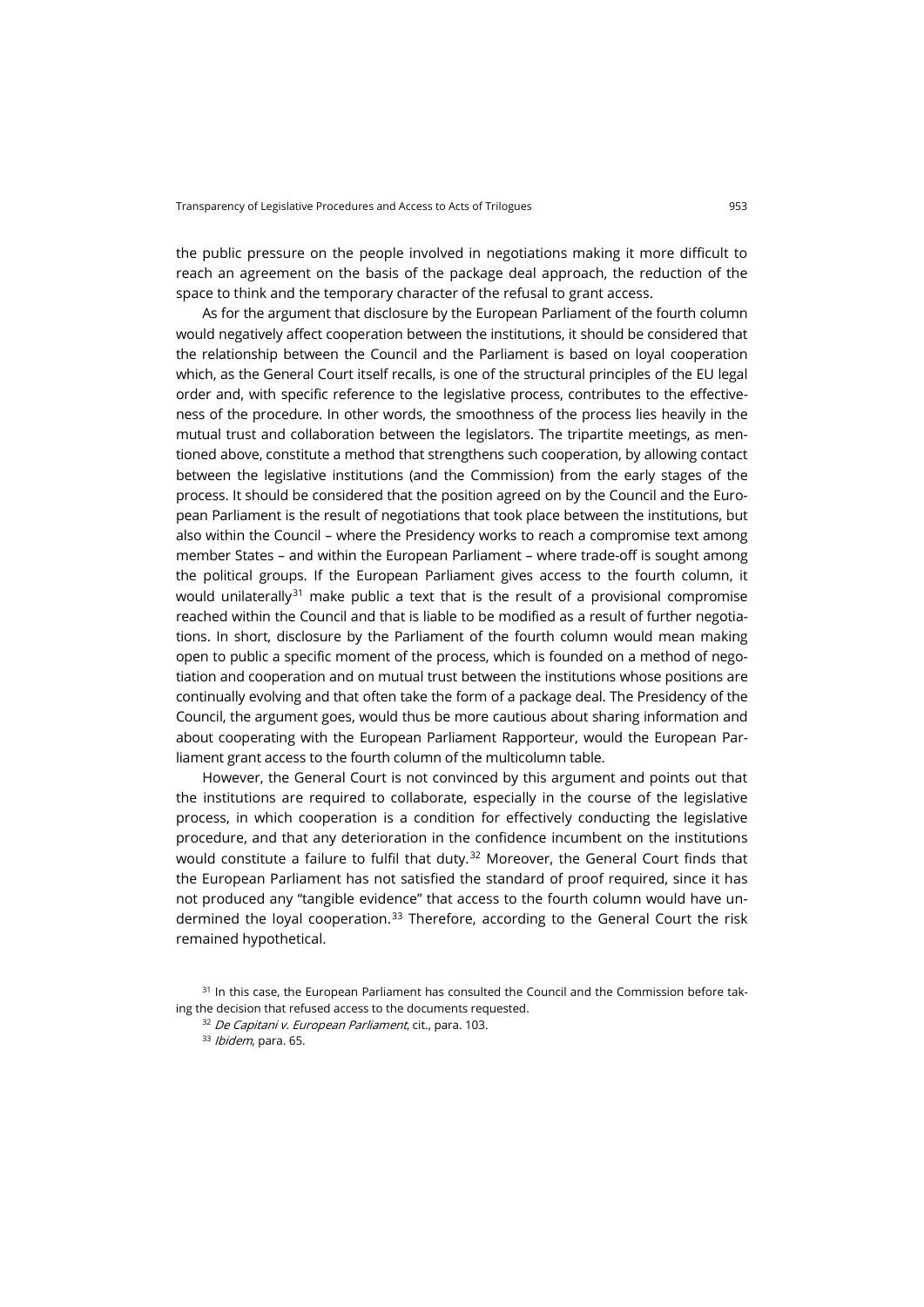the public pressure on the people involved in negotiations making it more difficult to reach an agreement on the basis of the package deal approach, the reduction of the space to think and the temporary character of the refusal to grant access.

As for the argument that disclosure by the European Parliament of the fourth column would negatively affect cooperation between the institutions, it should be considered that the relationship between the Council and the Parliament is based on loyal cooperation which, as the General Court itself recalls, is one of the structural principles of the EU legal order and, with specific reference to the legislative process, contributes to the effectiveness of the procedure. In other words, the smoothness of the process lies heavily in the mutual trust and collaboration between the legislators. The tripartite meetings, as mentioned above, constitute a method that strengthens such cooperation, by allowing contact between the legislative institutions (and the Commission) from the early stages of the process. It should be considered that the position agreed on by the Council and the European Parliament is the result of negotiations that took place between the institutions, but also within the Council – where the Presidency works to reach a compromise text among member States – and within the European Parliament – where trade-off is sought among the political groups. If the European Parliament gives access to the fourth column, it would unilaterally<sup>[31](#page-6-0)</sup> make public a text that is the result of a provisional compromise reached within the Council and that is liable to be modified as a result of further negotiations. In short, disclosure by the Parliament of the fourth column would mean making open to public a specific moment of the process, which is founded on a method of negotiation and cooperation and on mutual trust between the institutions whose positions are continually evolving and that often take the form of a package deal. The Presidency of the Council, the argument goes, would thus be more cautious about sharing information and about cooperating with the European Parliament Rapporteur, would the European Parliament grant access to the fourth column of the multicolumn table.

However, the General Court is not convinced by this argument and points out that the institutions are required to collaborate, especially in the course of the legislative process, in which cooperation is a condition for effectively conducting the legislative procedure, and that any deterioration in the confidence incumbent on the institutions would constitute a failure to fulfil that duty. $32$  Moreover, the General Court finds that the European Parliament has not satisfied the standard of proof required, since it has not produced any "tangible evidence" that access to the fourth column would have un-dermined the loyal cooperation.<sup>[33](#page-6-2)</sup> Therefore, according to the General Court the risk remained hypothetical.

<span id="page-6-2"></span><span id="page-6-1"></span><span id="page-6-0"></span><sup>&</sup>lt;sup>31</sup> In this case, the European Parliament has consulted the Council and the Commission before taking the decision that refused access to the documents requested.

<sup>32</sup> De Capitani v. European Parliament, cit., para. 103.

<sup>33</sup> Ibidem, para. 65.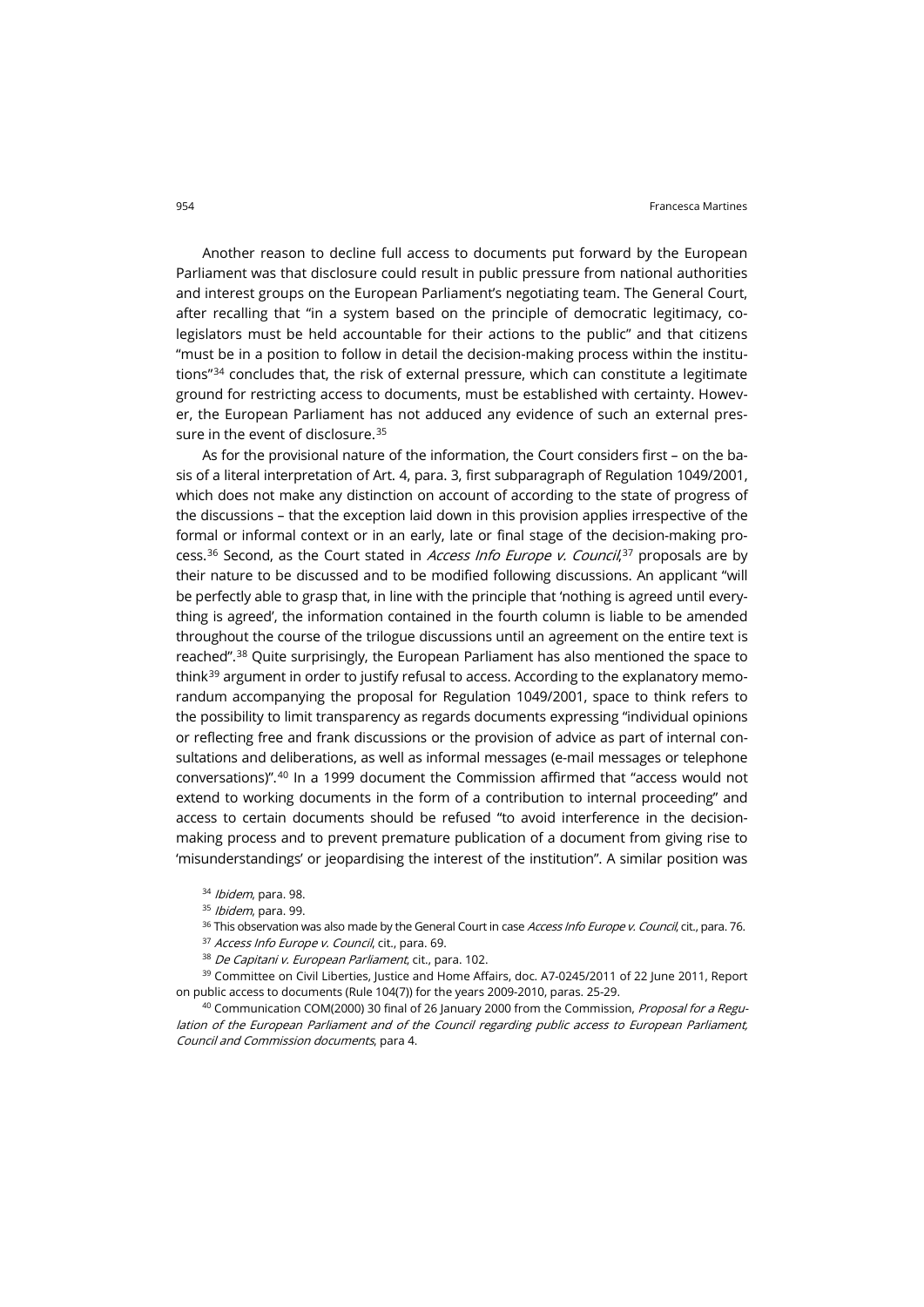Another reason to decline full access to documents put forward by the European Parliament was that disclosure could result in public pressure from national authorities and interest groups on the European Parliament's negotiating team. The General Court, after recalling that "in a system based on the principle of democratic legitimacy, colegislators must be held accountable for their actions to the public" and that citizens "must be in a position to follow in detail the decision-making process within the institutions"[34](#page-7-0) concludes that, the risk of external pressure, which can constitute a legitimate ground for restricting access to documents, must be established with certainty. However, the European Parliament has not adduced any evidence of such an external pres-sure in the event of disclosure.<sup>[35](#page-7-1)</sup>

As for the provisional nature of the information, the Court considers first – on the basis of a literal interpretation of Art. 4, para. 3, first subparagraph of Regulation 1049/2001, which does not make any distinction on account of according to the state of progress of the discussions – that the exception laid down in this provision applies irrespective of the formal or informal context or in an early, late or final stage of the decision-making pro-cess.<sup>[36](#page-7-2)</sup> Second, as the Court stated in *Access Info Europe v. Council*,<sup>[37](#page-7-3)</sup> proposals are by their nature to be discussed and to be modified following discussions. An applicant "will be perfectly able to grasp that, in line with the principle that 'nothing is agreed until everything is agreed', the information contained in the fourth column is liable to be amended throughout the course of the trilogue discussions until an agreement on the entire text is reached".<sup>[38](#page-7-4)</sup> Quite surprisingly, the European Parliament has also mentioned the space to think<sup>[39](#page-7-5)</sup> argument in order to justify refusal to access. According to the explanatory memorandum accompanying the proposal for Regulation 1049/2001, space to think refers to the possibility to limit transparency as regards documents expressing "individual opinions or reflecting free and frank discussions or the provision of advice as part of internal consultations and deliberations, as well as informal messages (e-mail messages or telephone conversations)".[40](#page-7-6) In a 1999 document the Commission affirmed that "access would not extend to working documents in the form of a contribution to internal proceeding" and access to certain documents should be refused "to avoid interference in the decisionmaking process and to prevent premature publication of a document from giving rise to 'misunderstandings' or jeopardising the interest of the institution". A similar position was

- 34 Ibidem, para. 98.
- 35 Ibidem, para. 99.
- <sup>36</sup> This observation was also made by the General Court in case *Access Info Europe v. Council*, cit., para. 76.
- 37 Access Info Europe v. Council, cit., para. 69.
- 38 De Capitani v. European Parliament, cit., para. 102.

<span id="page-7-5"></span><span id="page-7-4"></span><span id="page-7-3"></span><span id="page-7-2"></span><span id="page-7-1"></span><span id="page-7-0"></span><sup>39</sup> Committee on Civil Liberties, Justice and Home Affairs, doc. A7-0245/2011 of 22 June 2011, Report on public access to documents (Rule 104(7)) for the years 2009-2010, paras. 25-29.

<span id="page-7-6"></span><sup>40</sup> Communication COM(2000) 30 final of 26 January 2000 from the Commission, *Proposal for a Regu*lation of the European Parliament and of the Council regarding public access to European Parliament, Council and Commission documents, para 4.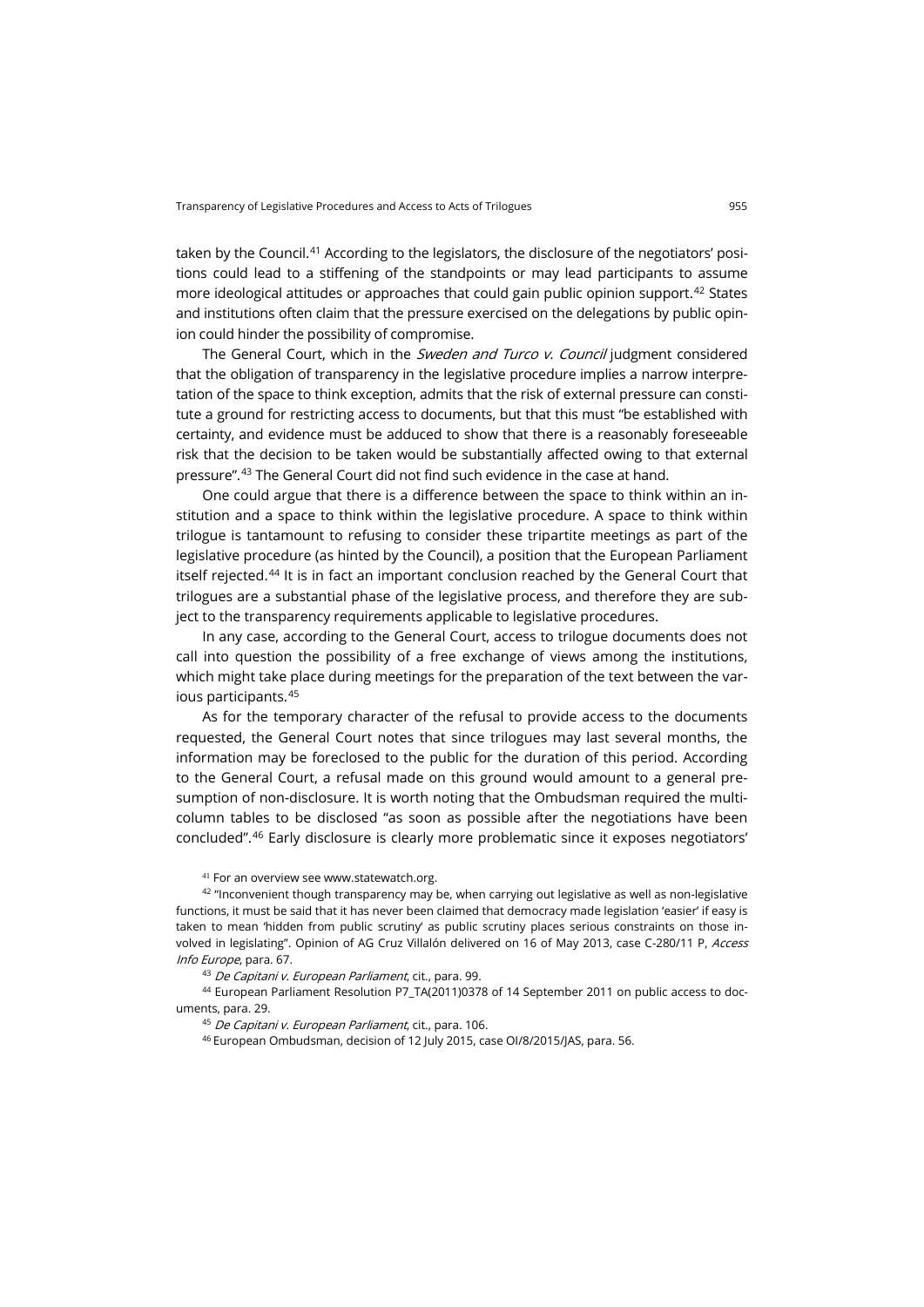taken by the Council.<sup>[41](#page-8-0)</sup> According to the legislators, the disclosure of the negotiators' positions could lead to a stiffening of the standpoints or may lead participants to assume more ideological attitudes or approaches that could gain public opinion support.<sup>[42](#page-8-1)</sup> States and institutions often claim that the pressure exercised on the delegations by public opinion could hinder the possibility of compromise.

The General Court, which in the Sweden and Turco v. Council judgment considered that the obligation of transparency in the legislative procedure implies a narrow interpretation of the space to think exception, admits that the risk of external pressure can constitute a ground for restricting access to documents, but that this must "be established with certainty, and evidence must be adduced to show that there is a reasonably foreseeable risk that the decision to be taken would be substantially affected owing to that external pressure". [43](#page-8-2) The General Court did not find such evidence in the case at hand.

One could argue that there is a difference between the space to think within an institution and a space to think within the legislative procedure. A space to think within trilogue is tantamount to refusing to consider these tripartite meetings as part of the legislative procedure (as hinted by the Council), a position that the European Parliament itself rejected.[44](#page-8-3) It is in fact an important conclusion reached by the General Court that trilogues are a substantial phase of the legislative process, and therefore they are subject to the transparency requirements applicable to legislative procedures.

In any case, according to the General Court, access to trilogue documents does not call into question the possibility of a free exchange of views among the institutions, which might take place during meetings for the preparation of the text between the various participants.[45](#page-8-4)

As for the temporary character of the refusal to provide access to the documents requested, the General Court notes that since trilogues may last several months, the information may be foreclosed to the public for the duration of this period. According to the General Court, a refusal made on this ground would amount to a general presumption of non-disclosure. It is worth noting that the Ombudsman required the multicolumn tables to be disclosed "as soon as possible after the negotiations have been concluded". [46](#page-8-5) Early disclosure is clearly more problematic since it exposes negotiators'

<sup>41</sup> For an overview se[e www.statewatch.org.](http://www.statewatch.org/news/2011/mar/05eu-access-regulation-com-amend-mar-11.htm)

<span id="page-8-1"></span><span id="page-8-0"></span>42 "Inconvenient though transparency may be, when carrying out legislative as well as non-legislative functions, it must be said that it has never been claimed that democracy made legislation 'easier' if easy is taken to mean 'hidden from public scrutiny' as public scrutiny places serious constraints on those involved in legislating". Opinion of AG Cruz Villalón delivered on 16 of May 2013, case C-280/11 P, Access Info Europe, para. 67.

43 De Capitani v. European Parliament, cit., para. 99.

<span id="page-8-5"></span><span id="page-8-4"></span><span id="page-8-3"></span><span id="page-8-2"></span><sup>44</sup> European Parliament Resolution P7\_TA(2011)0378 of 14 September 2011 on public access to documents, para. 29.

45 De Capitani v. European Parliament, cit., para. 106.

<sup>46</sup> European Ombudsman, decision of 12 July 2015, case OI/8/2015/JAS, para. 56.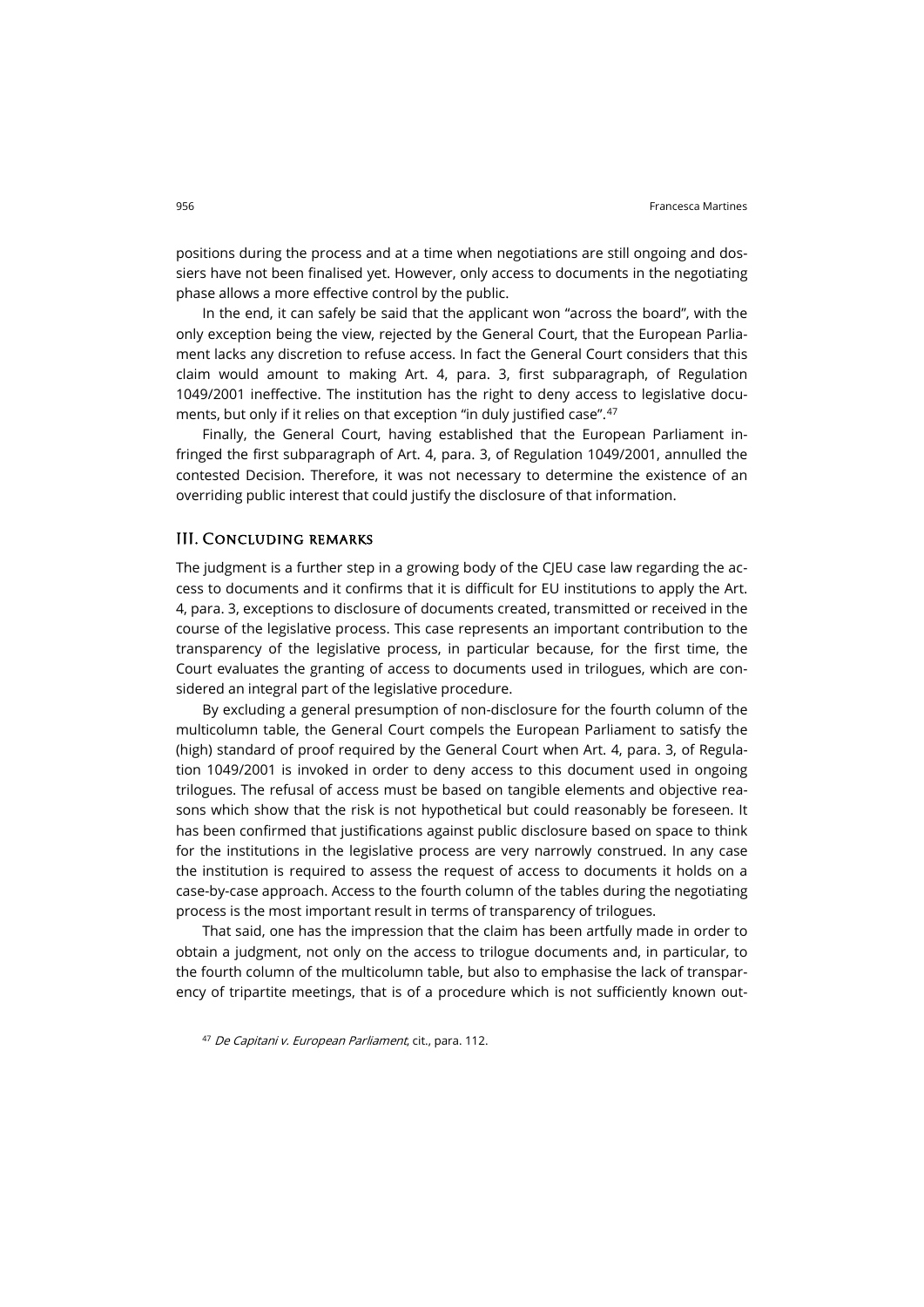positions during the process and at a time when negotiations are still ongoing and dossiers have not been finalised yet. However, only access to documents in the negotiating phase allows a more effective control by the public.

In the end, it can safely be said that the applicant won "across the board", with the only exception being the view, rejected by the General Court, that the European Parliament lacks any discretion to refuse access. In fact the General Court considers that this claim would amount to making Art. 4, para. 3, first subparagraph, of Regulation 1049/2001 ineffective. The institution has the right to deny access to legislative documents, but only if it relies on that exception "in duly justified case". [47](#page-9-0)

Finally, the General Court, having established that the European Parliament infringed the first subparagraph of Art. 4, para. 3, of Regulation 1049/2001, annulled the contested Decision. Therefore, it was not necessary to determine the existence of an overriding public interest that could justify the disclosure of that information.

#### III. Concluding remarks

The judgment is a further step in a growing body of the CJEU case law regarding the access to documents and it confirms that it is difficult for EU institutions to apply the Art. 4, para. 3, exceptions to disclosure of documents created, transmitted or received in the course of the legislative process. This case represents an important contribution to the transparency of the legislative process, in particular because, for the first time, the Court evaluates the granting of access to documents used in trilogues, which are considered an integral part of the legislative procedure.

By excluding a general presumption of non-disclosure for the fourth column of the multicolumn table, the General Court compels the European Parliament to satisfy the (high) standard of proof required by the General Court when Art. 4, para. 3, of Regulation 1049/2001 is invoked in order to deny access to this document used in ongoing trilogues. The refusal of access must be based on tangible elements and objective reasons which show that the risk is not hypothetical but could reasonably be foreseen. It has been confirmed that justifications against public disclosure based on space to think for the institutions in the legislative process are very narrowly construed. In any case the institution is required to assess the request of access to documents it holds on a case-by-case approach. Access to the fourth column of the tables during the negotiating process is the most important result in terms of transparency of trilogues.

That said, one has the impression that the claim has been artfully made in order to obtain a judgment, not only on the access to trilogue documents and, in particular, to the fourth column of the multicolumn table, but also to emphasise the lack of transparency of tripartite meetings, that is of a procedure which is not sufficiently known out-

<span id="page-9-0"></span>47 De Capitani v. European Parliament, cit., para. 112.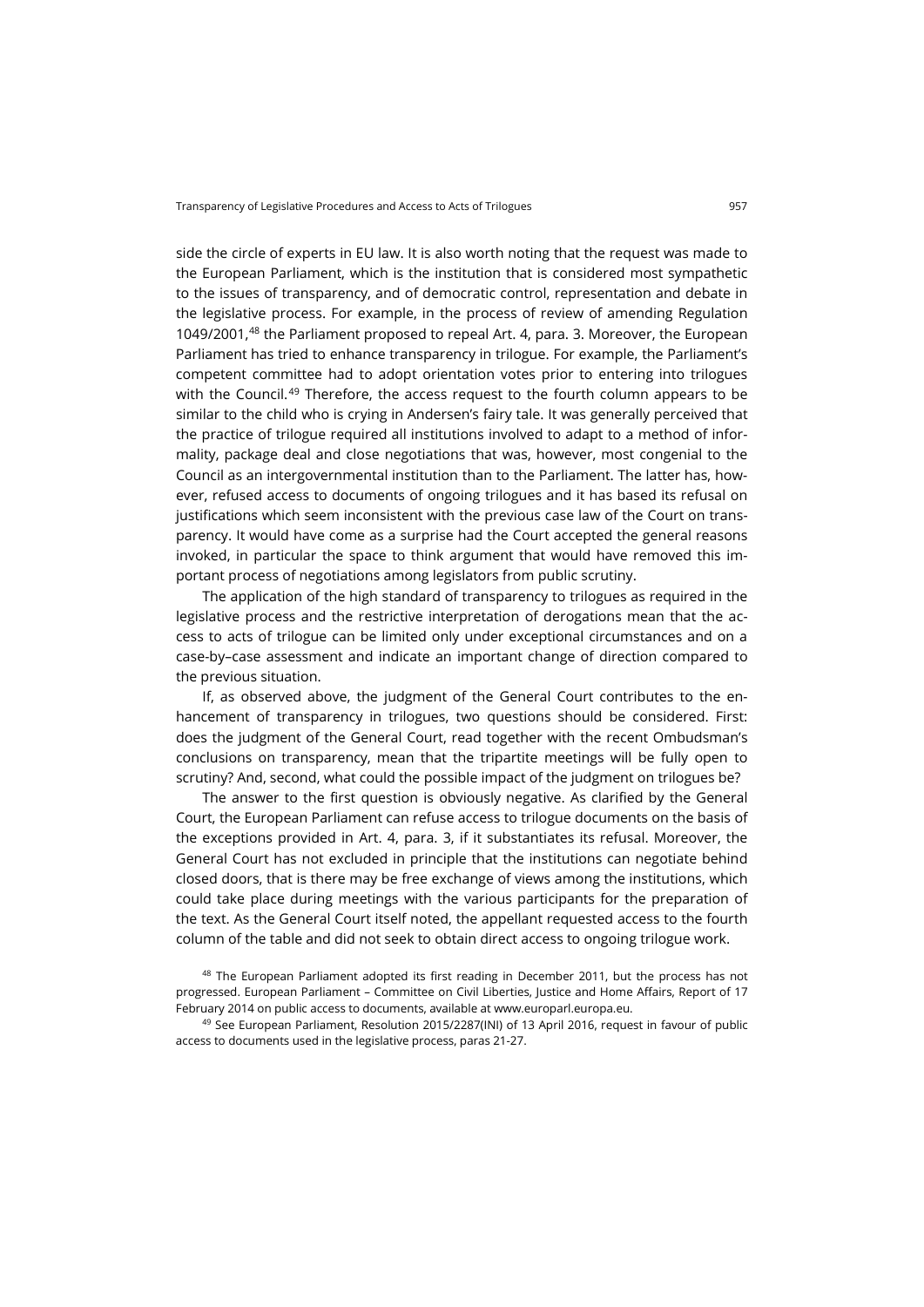side the circle of experts in EU law. It is also worth noting that the request was made to the European Parliament, which is the institution that is considered most sympathetic to the issues of transparency, and of democratic control, representation and debate in the legislative process. For example, in the process of review of amending Regulation 1049/2001,<sup>[48](#page-10-0)</sup> the Parliament proposed to repeal Art. 4, para. 3. Moreover, the European Parliament has tried to enhance transparency in trilogue. For example, the Parliament's competent committee had to adopt orientation votes prior to entering into trilogues with the Council.<sup>[49](#page-10-1)</sup> Therefore, the access request to the fourth column appears to be similar to the child who is crying in Andersen's fairy tale. It was generally perceived that the practice of trilogue required all institutions involved to adapt to a method of informality, package deal and close negotiations that was, however, most congenial to the Council as an intergovernmental institution than to the Parliament. The latter has, however, refused access to documents of ongoing trilogues and it has based its refusal on justifications which seem inconsistent with the previous case law of the Court on transparency. It would have come as a surprise had the Court accepted the general reasons invoked, in particular the space to think argument that would have removed this important process of negotiations among legislators from public scrutiny.

The application of the high standard of transparency to trilogues as required in the legislative process and the restrictive interpretation of derogations mean that the access to acts of trilogue can be limited only under exceptional circumstances and on a case-by–case assessment and indicate an important change of direction compared to the previous situation.

If, as observed above, the judgment of the General Court contributes to the enhancement of transparency in trilogues, two questions should be considered. First: does the judgment of the General Court, read together with the recent Ombudsman's conclusions on transparency, mean that the tripartite meetings will be fully open to scrutiny? And, second, what could the possible impact of the judgment on trilogues be?

The answer to the first question is obviously negative. As clarified by the General Court, the European Parliament can refuse access to trilogue documents on the basis of the exceptions provided in Art. 4, para. 3, if it substantiates its refusal. Moreover, the General Court has not excluded in principle that the institutions can negotiate behind closed doors, that is there may be free exchange of views among the institutions, which could take place during meetings with the various participants for the preparation of the text. As the General Court itself noted, the appellant requested access to the fourth column of the table and did not seek to obtain direct access to ongoing trilogue work.

<span id="page-10-0"></span><sup>48</sup> The European Parliament adopted its first reading in December 2011, but the process has not progressed. European Parliament – Committee on Civil Liberties, Justice and Home Affairs, Report of 17 February 2014 on public access to documents, available a[t www.europarl.europa.eu.](http://www.europarl.europa.eu/sides/getDoc.do?type=REPORT&reference=A7-2014-0148&format=XML&language=EN)

<span id="page-10-1"></span><sup>49</sup> See European Parliament, Resolution 2015/2287(INI) of 13 April 2016, request in favour of public access to documents used in the legislative process, paras 21-27.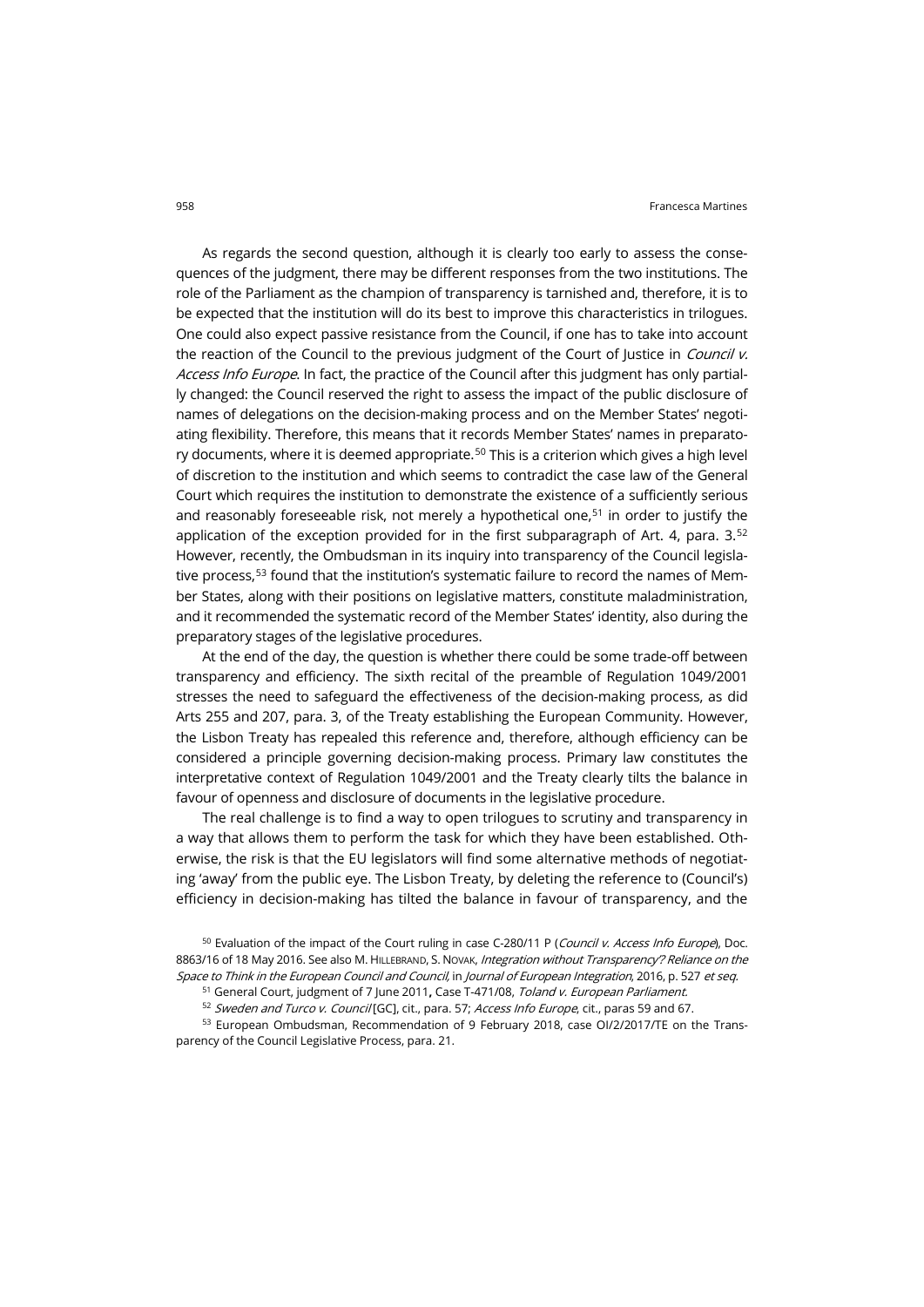As regards the second question, although it is clearly too early to assess the consequences of the judgment, there may be different responses from the two institutions. The role of the Parliament as the champion of transparency is tarnished and, therefore, it is to be expected that the institution will do its best to improve this characteristics in trilogues. One could also expect passive resistance from the Council, if one has to take into account the reaction of the Council to the previous judgment of the Court of Justice in Council v. Access Info Europe. In fact, the practice of the Council after this judgment has only partially changed: the Council reserved the right to assess the impact of the public disclosure of names of delegations on the decision-making process and on the Member States' negotiating flexibility. Therefore, this means that it records Member States' names in preparato-ry documents, where it is deemed appropriate.<sup>[50](#page-11-0)</sup> This is a criterion which gives a high level of discretion to the institution and which seems to contradict the case law of the General Court which requires the institution to demonstrate the existence of a sufficiently serious and reasonably foreseeable risk, not merely a hypothetical one,<sup>[51](#page-11-1)</sup> in order to justify the application of the exception provided for in the first subparagraph of Art. 4, para.  $3.5<sup>2</sup>$ However, recently, the Ombudsman in its inquiry into transparency of the Council legisla-tive process.<sup>[53](#page-11-3)</sup> found that the institution's systematic failure to record the names of Member States, along with their positions on legislative matters, constitute maladministration, and it recommended the systematic record of the Member States' identity, also during the preparatory stages of the legislative procedures.

At the end of the day, the question is whether there could be some trade-off between transparency and efficiency. The sixth recital of the preamble of Regulation 1049/2001 stresses the need to safeguard the effectiveness of the decision-making process, as did Arts 255 and 207, para. 3, of the Treaty establishing the European Community. However, the Lisbon Treaty has repealed this reference and, therefore, although efficiency can be considered a principle governing decision-making process. Primary law constitutes the interpretative context of Regulation 1049/2001 and the Treaty clearly tilts the balance in favour of openness and disclosure of documents in the legislative procedure.

The real challenge is to find a way to open trilogues to scrutiny and transparency in a way that allows them to perform the task for which they have been established. Otherwise, the risk is that the EU legislators will find some alternative methods of negotiating 'away' from the public eye. The Lisbon Treaty, by deleting the reference to (Council's) efficiency in decision-making has tilted the balance in favour of transparency, and the

<span id="page-11-0"></span><sup>50</sup> Evaluation of the impact of the Court ruling in case C-280/11 P (Council v. Access Info Europe), Doc. 8863/16 of 18 May 2016. See also M. HILLEBRAND, S. NOVAK, Integration without Transparency? Reliance on the Space to Think in the European Council and Council, in Journal of European Integration, 2016, p. 527 et seq.

<sup>51</sup> General Court, judgment of 7 June 2011**,** Case T-471/08, Toland v. European Parliament.

52 Sweden and Turco v. Council [GC], cit., para. 57; Access Info Europe, cit., paras 59 and 67.

<span id="page-11-3"></span><span id="page-11-2"></span><span id="page-11-1"></span>53 European Ombudsman, Recommendation of 9 February 2018, case OI/2/2017/TE on the Transparency of the Council Legislative Process, para. 21.